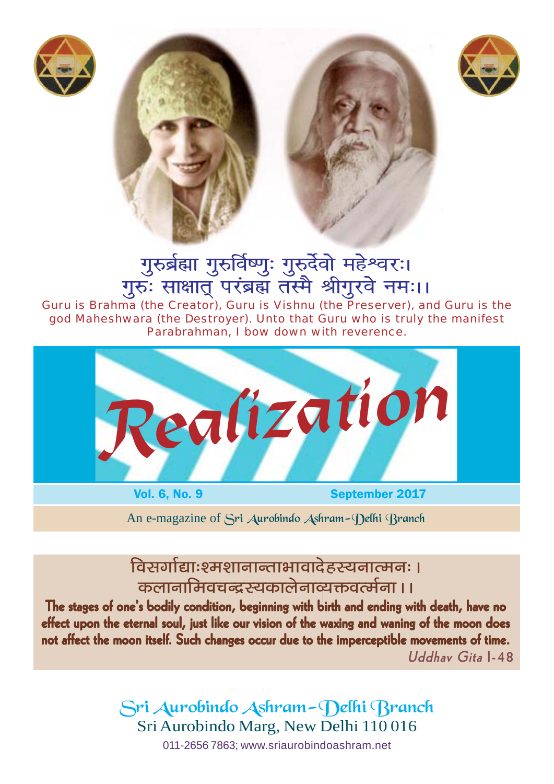





Guru is Brahma (the Creator), Guru is Vishnu (the Preserver), and Guru is the god Maheshwara (the Destroyer). Unto that Guru who is truly the manifest Parabrahman, I bow down with reverence.



An e-magazine of Sri Aurobindo Ashram-Delhi Branch

# विसर्गाद्याःश्मशानान्ताभावादेहस्यनात्मनः ।<br>कलानामिवचन्दस्यकालेनाव्यक्तवर्त्मना ।।

The stages of one's bodily condition, beginning with birth and ending with death, have no **effect upon the eternal soul, just like our vision of the waxing and waning of the moon does** not affect the moon itself. Such changes occur due to the imperceptible movements of time. **Uddhav Gita I-48**

> Sri Aurobindo Ashram-Delhi Branch Sri Aurobindo Marg, New Delhi 110 016

> > 011-2656 7863; www.sriaurobindoashram.net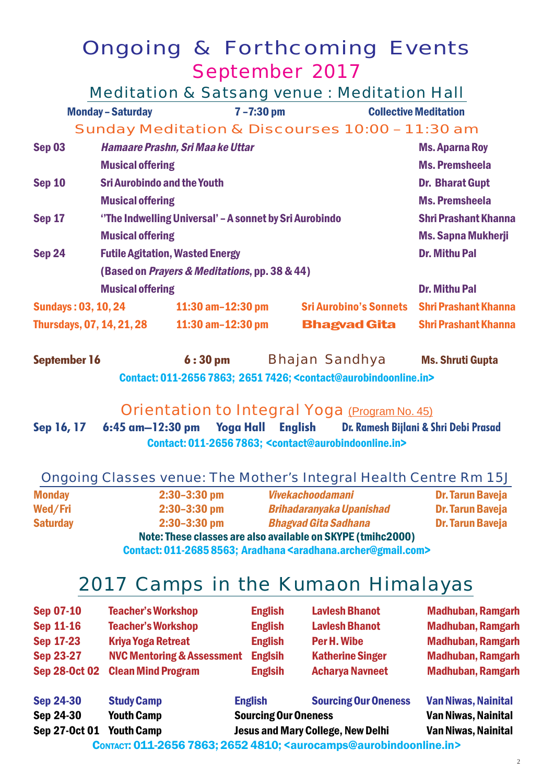# Ongoing & Forthcoming Events September 2017

Meditation & Satsang venue : Meditation Hall

| <b>Monday - Saturday</b>                                |                                                        | $7 - 7:30$ pm                                             |                               | <b>Collective Meditation</b> |
|---------------------------------------------------------|--------------------------------------------------------|-----------------------------------------------------------|-------------------------------|------------------------------|
|                                                         |                                                        | Sunday Meditation & Discourses 10:00 - 11:30 am           |                               |                              |
| <b>Sep 03</b>                                           |                                                        | <b>Hamaare Prashn, Sri Maa ke Uttar</b>                   |                               | <b>Ms. Aparna Roy</b>        |
|                                                         |                                                        | <b>Musical offering</b>                                   |                               |                              |
| <b>Sep 10</b>                                           |                                                        | <b>Sri Aurobindo and the Youth</b>                        |                               | <b>Dr. Bharat Gupt</b>       |
|                                                         |                                                        | <b>Musical offering</b>                                   |                               |                              |
| <b>Sep 17</b>                                           | "The Indwelling Universal' - A sonnet by Sri Aurobindo |                                                           |                               | <b>Shri Prashant Khanna</b>  |
|                                                         |                                                        | <b>Musical offering</b>                                   |                               |                              |
| <b>Futile Agitation, Wasted Energy</b><br><b>Sep 24</b> |                                                        |                                                           |                               | <b>Dr. Mithu Pal</b>         |
|                                                         |                                                        | (Based on <i>Prayers &amp; Meditations</i> , pp. 38 & 44) |                               |                              |
|                                                         |                                                        | <b>Musical offering</b>                                   |                               |                              |
| <b>Sundays: 03, 10, 24</b>                              |                                                        | 11:30 $am-12:30$ pm                                       | <b>Sri Aurobino's Sonnets</b> | <b>Shri Prashant Khanna</b>  |
| Thursdays, 07, 14, 21, 28                               |                                                        | 11:30 $am-12:30$ pm                                       | <b>Bhagvad Gita</b>           | <b>Shri Prashant Khanna</b>  |
|                                                         |                                                        |                                                           |                               |                              |

September 16 6 : 30 pm *Bhajan Sandhya* Ms. Shruti Gupta Contact: 011-2656 7863; 2651 7426; <contact@aurobindoonline.in>

#### Orientation to Integral Yoga (Program No. 45)

Sep 16, 17 6:45 am–12:30 pm Yoga Hall English Dr. Ramesh Bijlani & Shri Debi Prasad Contact: 011-2656 7863; <contact@aurobindoonline.in>

#### Ongoing Classes venue: The Mother's Integral Health Centre Rm 15J

| $2:30-3:30$ pm | <b>Vivekachoodamani</b>         | <b>Dr. Tarun Baveja</b>                                     |
|----------------|---------------------------------|-------------------------------------------------------------|
| $2:30-3:30$ pm | <b>Brihadaranyaka Upanishad</b> | <b>Dr. Tarun Baveja</b>                                     |
| $2:30-3:30$ pm | <b>Bhagyad Gita Sadhana</b>     | <b>Dr. Tarun Baveja</b>                                     |
|                |                                 |                                                             |
|                |                                 | Note: These classes are also available on SKYPE (tmihc2000) |

Contact: 011-2685 8563; Aradhana <aradhana.archer@gmail.com>

# 2017 Camps in the Kumaon Himalayas

| <b>Sep 07-10</b>                                                                                 | <b>Teacher's Workshop</b>             | <b>English</b>                           | <b>Laviesh Bhanot</b>       | <b>Madhuban, Ramgarh</b>   |
|--------------------------------------------------------------------------------------------------|---------------------------------------|------------------------------------------|-----------------------------|----------------------------|
| <b>Sep 11-16</b>                                                                                 | <b>Teacher's Workshop</b>             | <b>English</b>                           | <b>Laviesh Bhanot</b>       | <b>Madhuban, Ramgarh</b>   |
| <b>Sep 17-23</b>                                                                                 | <b>Kriya Yoga Retreat</b>             | <b>English</b>                           | Per H. Wibe                 | <b>Madhuban, Ramgarh</b>   |
| <b>Sep 23-27</b>                                                                                 | <b>NVC Mentoring &amp; Assessment</b> | <b>Englsih</b>                           | <b>Katherine Singer</b>     | <b>Madhuban, Ramgarh</b>   |
| <b>Sep 28-Oct 02</b>                                                                             | <b>Clean Mind Program</b>             | <b>Englsih</b>                           | <b>Acharya Navneet</b>      | <b>Madhuban, Ramgarh</b>   |
| <b>Sep 24-30</b>                                                                                 | <b>Study Camp</b>                     | <b>English</b>                           | <b>Sourcing Our Oneness</b> | <b>Van Niwas, Nainital</b> |
| Sep 24-30                                                                                        | <b>Youth Camp</b>                     | <b>Sourcing Our Oneness</b>              |                             | <b>Van Niwas, Nainital</b> |
| Sep 27-Oct 01                                                                                    | <b>Youth Camp</b>                     | <b>Jesus and Mary College, New Delhi</b> |                             | <b>Van Niwas, Nainital</b> |
| CONTACT: 011-2656 7863; 2652 4810; <aurocamps@aurobindoonline.in></aurocamps@aurobindoonline.in> |                                       |                                          |                             |                            |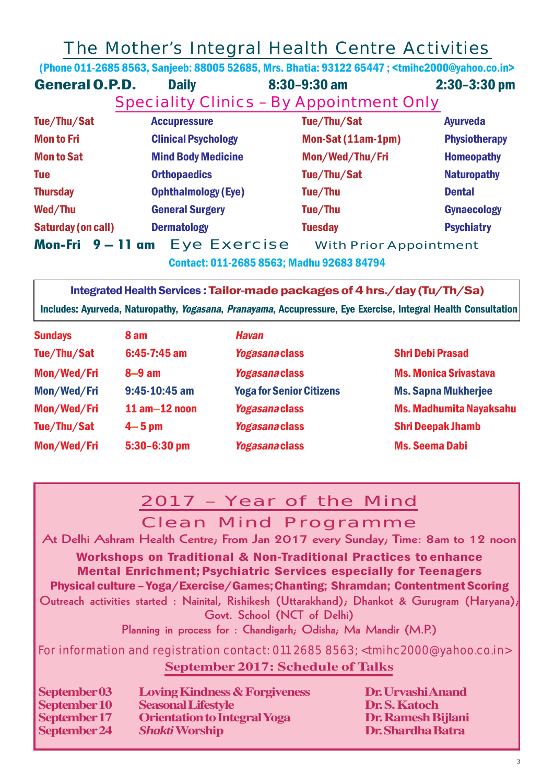# The Mother's Integral Health Centre Activities

|                                                 |                           | (Phone 011-2685 8563, Sanjeeb: 88005 52685, Mrs. Bhatia: 93122 65447; <tmihc2000@yahoo.co.in></tmihc2000@yahoo.co.in> |                      |
|-------------------------------------------------|---------------------------|-----------------------------------------------------------------------------------------------------------------------|----------------------|
| <b>General O.P.D.</b>                           | <b>Daily</b>              | $8:30 - 9:30$ am<br>$2:30-3:30$ pm                                                                                    |                      |
|                                                 |                           | Speciality Clinics - By Appointment Only                                                                              |                      |
| Tue/Thu/Sat                                     | <b>Accupressure</b>       | Tue/Thu/Sat                                                                                                           | <b>Ayurveda</b>      |
| <b>Mon to Fri</b><br><b>Clinical Psychology</b> |                           | Mon-Sat (11am-1pm)                                                                                                    | <b>Physiotherapy</b> |
| <b>Mon to Sat</b>                               | <b>Mind Body Medicine</b> | Mon/Wed/Thu/Fri                                                                                                       | <b>Homeopathy</b>    |
| <b>Tue</b>                                      | <b>Orthopaedics</b>       | Tue/Thu/Sat                                                                                                           | <b>Naturopathy</b>   |
| <b>Thursday</b><br><b>Ophthalmology (Eye)</b>   |                           | Tue/Thu                                                                                                               | <b>Dental</b>        |
| <b>General Surgery</b><br>Wed/Thu               |                           | Tue/Thu                                                                                                               | <b>Gynaecology</b>   |
| <b>Saturday (on call)</b><br><b>Dermatology</b> |                           | <b>Tuesday</b>                                                                                                        | <b>Psychiatry</b>    |
| Mon-Fri 9-11 am Eye Exercise                    |                           | <b>With Prior Appointment</b>                                                                                         |                      |
| Contact: 011-2685 8563; Madhu 92683 84794       |                           |                                                                                                                       |                      |

Integrated Health Services : Tailor-made packages of 4 hrs./day (Tu/Th/Sa) Includes: Ayurveda, Naturopathy, Yogasana, Pranayama, Accupressure, Eye Exercise, Integral Health Consultation

| <b>Sundays</b> | 8 am               | <b>Havan</b>                    |                                |
|----------------|--------------------|---------------------------------|--------------------------------|
| Tue/Thu/Sat    | 6:45-7:45 am       | <b>Yogasanaclass</b>            | <b>Shri Debi Prasad</b>        |
| Mon/Wed/Fri    | $8-9$ am           | <i><b>Yogasanaclass</b></i>     | <b>Ms. Monica Srivastava</b>   |
| Mon/Wed/Fri    | $9:45-10:45$ am    | <b>Yoga for Senior Citizens</b> | <b>Ms. Sapna Mukherjee</b>     |
| Mon/Wed/Fri    | $11$ am $-12$ noon | <i><b>Yogasanaclass</b></i>     | <b>Ms. Madhumita Nayaksahu</b> |
| Tue/Thu/Sat    | $4 - 5$ pm         | <b>Yogasanaclass</b>            | <b>Shri Deepak Jhamb</b>       |
| Mon/Wed/Fri    | $5:30-6:30$ pm     | <i><b>Yogasanaclass</b></i>     | <b>Ms. Seema Dabi</b>          |

# 2017 – Year of the Mind

Clean Mind Programme **At Delhi Ashram Health Centre; From Jan 2017 every Sunday; Time: 8am to 12 noon** Workshops on Traditional & Non-Traditional Practices to enhance Mental Enrichment; Psychiatric Services especially for Teenagers Physical culture – Yoga/Exercise/Games; Chanting; Shramdan; Contentment Scoring **Outreach activities started : Nainital, Rishikesh (Uttarakhand); Dhankot & Gurugram (Haryana); Govt. School (NCT of Delhi) Planning in process for : Chandigarh; Odisha; Ma Mandir (M.P.)** For information and registration contact: 011 2685 8563; <tmihc2000@yahoo.co.in> **September 2017: Schedule of Talks**

**September 03 Loving Kindness & Forgiveness Dr. Urvashi Anand September 10 Seasonal Lifestyle Dr. S. Katoch September 17 Orientation to Integral Yoga Dr. Ramesh Bijlani September 24** *Shakti* **Worship Dr. Shardha Batra**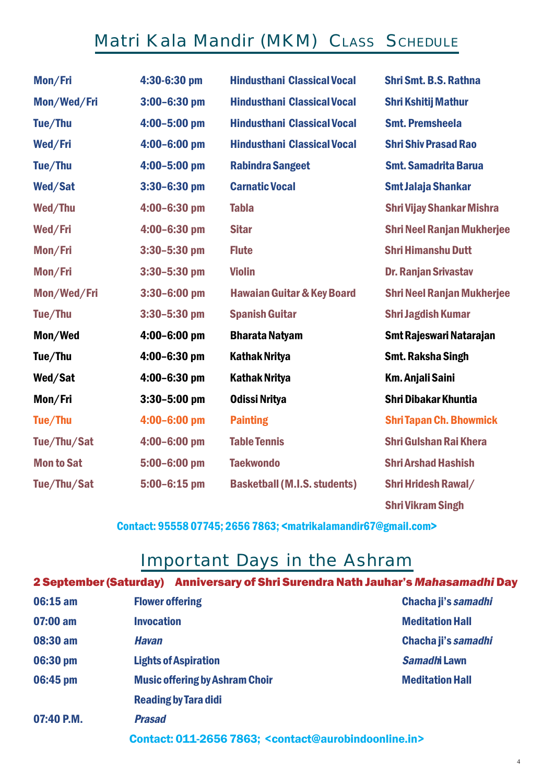# Matri Kala Mandir (MKM) CLASS SCHEDULE

| Mon/Fri           | 4:30-6:30 pm     | <b>Hindusthani Classical Vocal</b>    | <b>Shri Smt. B.S. Rathna</b>      |
|-------------------|------------------|---------------------------------------|-----------------------------------|
| Mon/Wed/Fri       | $3:00 - 6:30$ pm | <b>Hindusthani Classical Vocal</b>    | <b>Shri Kshitij Mathur</b>        |
| Tue/Thu           | 4:00-5:00 pm     | <b>Hindusthani Classical Vocal</b>    | <b>Smt. Premsheela</b>            |
| Wed/Fri           | 4:00-6:00 pm     | <b>Hindusthani Classical Vocal</b>    | <b>Shri Shiv Prasad Rao</b>       |
| Tue/Thu           | 4:00-5:00 pm     | <b>Rabindra Sangeet</b>               | <b>Smt. Samadrita Barua</b>       |
| Wed/Sat           | $3:30-6:30$ pm   | <b>Carnatic Vocal</b>                 | <b>Smt Jalaja Shankar</b>         |
| Wed/Thu           | $4:00 - 6:30$ pm | <b>Tabla</b>                          | <b>Shri Vijay Shankar Mishra</b>  |
| Wed/Fri           | $4:00 - 6:30$ pm | <b>Sitar</b>                          | <b>Shri Neel Ranjan Mukherjee</b> |
| Mon/Fri           | $3:30 - 5:30$ pm | <b>Flute</b>                          | <b>Shri Himanshu Dutt</b>         |
| Mon/Fri           | $3:30 - 5:30$ pm | <b>Violin</b>                         | <b>Dr. Ranjan Srivastav</b>       |
| Mon/Wed/Fri       | 3:30-6:00 pm     | <b>Hawaian Guitar &amp; Key Board</b> | <b>Shri Neel Ranjan Mukherjee</b> |
| Tue/Thu           | $3:30 - 5:30$ pm | <b>Spanish Guitar</b>                 | <b>Shri Jagdish Kumar</b>         |
| Mon/Wed           | $4:00 - 6:00$ pm | <b>Bharata Natyam</b>                 | <b>Smt Rajeswari Natarajan</b>    |
| Tue/Thu           | $4:00 - 6:30$ pm | <b>Kathak Nritya</b>                  | <b>Smt. Raksha Singh</b>          |
| Wed/Sat           | $4:00 - 6:30$ pm | <b>Kathak Nritya</b>                  | <b>Km. Anjali Saini</b>           |
| Mon/Fri           | $3:30 - 5:00$ pm | Odissi Nritya                         | <b>Shri Dibakar Khuntia</b>       |
| Tue/Thu           | 4:00-6:00 pm     | <b>Painting</b>                       | <b>Shri Tapan Ch. Bhowmick</b>    |
| Tue/Thu/Sat       | 4:00-6:00 pm     | <b>Table Tennis</b>                   | <b>Shri Gulshan Rai Khera</b>     |
| <b>Mon to Sat</b> | 5:00-6:00 pm     | <b>Taekwondo</b>                      | <b>Shri Arshad Hashish</b>        |
| Tue/Thu/Sat       | $5:00 - 6:15$ pm | <b>Basketball (M.I.S. students)</b>   | <b>Shri Hridesh Rawal/</b>        |
|                   |                  |                                       |                                   |

Contact: 95558 07745; 2656 7863; <matrikalamandir67@gmail.com>

# Important Days in the Ashram

|            |                             |                                                                                   | 2 September (Saturday) Anniversary of Shri Surendra Nath Jauhar's Mahasamadhi Day |
|------------|-----------------------------|-----------------------------------------------------------------------------------|-----------------------------------------------------------------------------------|
| 06:15 am   | <b>Flower offering</b>      |                                                                                   | Chacha ji's samadhi                                                               |
| 07:00 am   | <b>Invocation</b>           |                                                                                   | <b>Meditation Hall</b>                                                            |
| 08:30 am   | <b>Havan</b>                |                                                                                   | Chacha ji's samadhi                                                               |
| 06:30 pm   | <b>Lights of Aspiration</b> |                                                                                   | Samadhi Lawn                                                                      |
| 06:45 pm   |                             | <b>Music offering by Ashram Choir</b>                                             | <b>Meditation Hall</b>                                                            |
|            | <b>Reading by Tara didi</b> |                                                                                   |                                                                                   |
| 07:40 P.M. | <b>Prasad</b>               |                                                                                   |                                                                                   |
|            |                             | Contact: 011-2656 7863; <contact@aurobindoonline.in></contact@aurobindoonline.in> |                                                                                   |

Shri Vikram Singh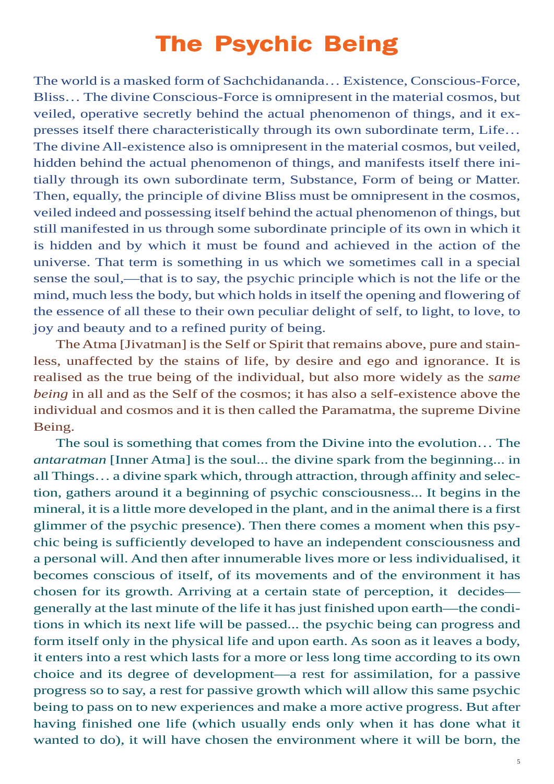# **The Psychic Being**

The world is a masked form of Sachchidananda… Existence, Conscious-Force, Bliss… The divine Conscious-Force is omnipresent in the material cosmos, but veiled, operative secretly behind the actual phenomenon of things, and it expresses itself there characteristically through its own subordinate term, Life… The divine All-existence also is omnipresent in the material cosmos, but veiled, hidden behind the actual phenomenon of things, and manifests itself there initially through its own subordinate term, Substance, Form of being or Matter. Then, equally, the principle of divine Bliss must be omnipresent in the cosmos, veiled indeed and possessing itself behind the actual phenomenon of things, but still manifested in us through some subordinate principle of its own in which it is hidden and by which it must be found and achieved in the action of the universe. That term is something in us which we sometimes call in a special sense the soul,—that is to say, the psychic principle which is not the life or the mind, much less the body, but which holds in itself the opening and flowering of the essence of all these to their own peculiar delight of self, to light, to love, to joy and beauty and to a refined purity of being.

The Atma [Jivatman] is the Self or Spirit that remains above, pure and stainless, unaffected by the stains of life, by desire and ego and ignorance. It is realised as the true being of the individual, but also more widely as the *same being* in all and as the Self of the cosmos; it has also a self-existence above the individual and cosmos and it is then called the Paramatma, the supreme Divine Being.

The soul is something that comes from the Divine into the evolution… The *antaratman* [Inner Atma] is the soul... the divine spark from the beginning... in all Things… a divine spark which, through attraction, through affinity and selection, gathers around it a beginning of psychic consciousness... It begins in the mineral, it is a little more developed in the plant, and in the animal there is a first glimmer of the psychic presence). Then there comes a moment when this psychic being is sufficiently developed to have an independent consciousness and a personal will. And then after innumerable lives more or less individualised, it becomes conscious of itself, of its movements and of the environment it has chosen for its growth. Arriving at a certain state of perception, it decides generally at the last minute of the life it has just finished upon earth—the conditions in which its next life will be passed... the psychic being can progress and form itself only in the physical life and upon earth. As soon as it leaves a body, it enters into a rest which lasts for a more or less long time according to its own choice and its degree of development—a rest for assimilation, for a passive progress so to say, a rest for passive growth which will allow this same psychic being to pass on to new experiences and make a more active progress. But after having finished one life (which usually ends only when it has done what it wanted to do), it will have chosen the environment where it will be born, the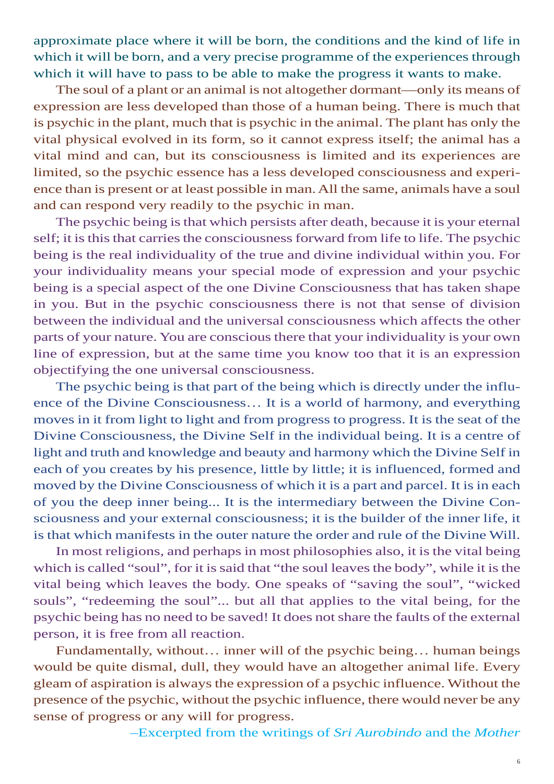approximate place where it will be born, the conditions and the kind of life in which it will be born, and a very precise programme of the experiences through which it will have to pass to be able to make the progress it wants to make.

The soul of a plant or an animal is not altogether dormant—only its means of expression are less developed than those of a human being. There is much that is psychic in the plant, much that is psychic in the animal. The plant has only the vital physical evolved in its form, so it cannot express itself; the animal has a vital mind and can, but its consciousness is limited and its experiences are limited, so the psychic essence has a less developed consciousness and experience than is present or at least possible in man. All the same, animals have a soul and can respond very readily to the psychic in man.

The psychic being is that which persists after death, because it is your eternal self; it is this that carries the consciousness forward from life to life. The psychic being is the real individuality of the true and divine individual within you. For your individuality means your special mode of expression and your psychic being is a special aspect of the one Divine Consciousness that has taken shape in you. But in the psychic consciousness there is not that sense of division between the individual and the universal consciousness which affects the other parts of your nature. You are conscious there that your individuality is your own line of expression, but at the same time you know too that it is an expression objectifying the one universal consciousness.

The psychic being is that part of the being which is directly under the influence of the Divine Consciousness… It is a world of harmony, and everything moves in it from light to light and from progress to progress. It is the seat of the Divine Consciousness, the Divine Self in the individual being. It is a centre of light and truth and knowledge and beauty and harmony which the Divine Self in each of you creates by his presence, little by little; it is influenced, formed and moved by the Divine Consciousness of which it is a part and parcel. It is in each of you the deep inner being... It is the intermediary between the Divine Consciousness and your external consciousness; it is the builder of the inner life, it is that which manifests in the outer nature the order and rule of the Divine Will.

In most religions, and perhaps in most philosophies also, it is the vital being which is called "soul", for it is said that "the soul leaves the body", while it is the vital being which leaves the body. One speaks of "saving the soul", "wicked souls", "redeeming the soul"... but all that applies to the vital being, for the psychic being has no need to be saved! It does not share the faults of the external person, it is free from all reaction.

Fundamentally, without… inner will of the psychic being… human beings would be quite dismal, dull, they would have an altogether animal life. Every gleam of aspiration is always the expression of a psychic influence. Without the presence of the psychic, without the psychic influence, there would never be any sense of progress or any will for progress.

–Excerpted from the writings of *Sri Aurobindo* and the *Mother*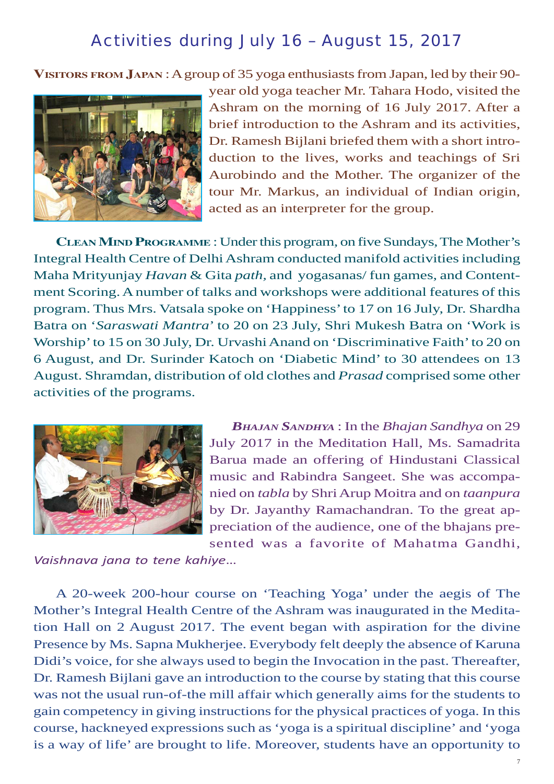# Activities during July 16 – August 15, 2017

**VISITORS FROM JAPAN** : A group of 35 yoga enthusiasts from Japan, led by their 90-



year old yoga teacher Mr. Tahara Hodo, visited the Ashram on the morning of 16 July 2017. After a brief introduction to the Ashram and its activities, Dr. Ramesh Bijlani briefed them with a short introduction to the lives, works and teachings of Sri Aurobindo and the Mother. The organizer of the tour Mr. Markus, an individual of Indian origin, acted as an interpreter for the group.

**CLEAN MIND PROGRAMME** : Under this program, on five Sundays, The Mother's Integral Health Centre of Delhi Ashram conducted manifold activities including Maha Mrityunjay *Havan* & Gita *path,* and yogasanas/ fun games, and Contentment Scoring. A number of talks and workshops were additional features of this program. Thus Mrs. Vatsala spoke on 'Happiness' to 17 on 16 July, Dr. Shardha Batra on '*Saraswati Mantra*' to 20 on 23 July, Shri Mukesh Batra on 'Work is Worship' to 15 on 30 July, Dr. Urvashi Anand on 'Discriminative Faith' to 20 on 6 August, and Dr. Surinder Katoch on 'Diabetic Mind' to 30 attendees on 13 August. Shramdan, distribution of old clothes and *Prasad* comprised some other activities of the programs.



*BHAJAN SANDHYA* : In the *Bhajan Sandhya* on 29 July 2017 in the Meditation Hall, Ms. Samadrita Barua made an offering of Hindustani Classical music and Rabindra Sangeet. She was accompanied on *tabla* by Shri Arup Moitra and on *taanpura* by Dr. Jayanthy Ramachandran. To the great appreciation of the audience, one of the bhajans presented was a favorite of Mahatma Gandhi,

*Vaishnava jana to tene kahiye*…

A 20-week 200-hour course on 'Teaching Yoga' under the aegis of The Mother's Integral Health Centre of the Ashram was inaugurated in the Meditation Hall on 2 August 2017. The event began with aspiration for the divine Presence by Ms. Sapna Mukherjee. Everybody felt deeply the absence of Karuna Didi's voice, for she always used to begin the Invocation in the past. Thereafter, Dr. Ramesh Bijlani gave an introduction to the course by stating that this course was not the usual run-of-the mill affair which generally aims for the students to gain competency in giving instructions for the physical practices of yoga. In this course, hackneyed expressions such as 'yoga is a spiritual discipline' and 'yoga is a way of life' are brought to life. Moreover, students have an opportunity to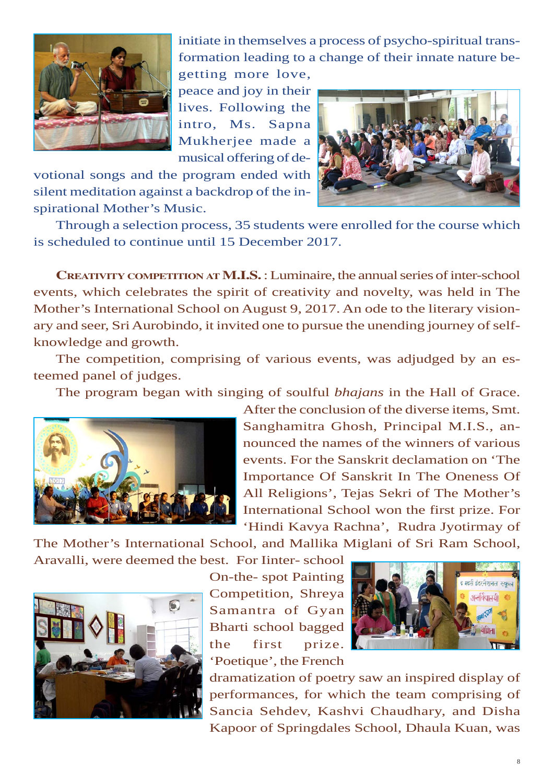

initiate in themselves a process of psycho-spiritual transformation leading to a change of their innate nature be-

getting more love, peace and joy in their lives. Following the intro, Ms. Sapna Mukherjee made a musical offering of de-

votional songs and the program ended with silent meditation against a backdrop of the inspirational Mother's Music.



Through a selection process, 35 students were enrolled for the course which is scheduled to continue until 15 December 2017.

**CREATIVITY COMPETITION AT M.I.S.** : Luminaire, the annual series of inter-school events, which celebrates the spirit of creativity and novelty, was held in The Mother's International School on August 9, 2017. An ode to the literary visionary and seer, Sri Aurobindo, it invited one to pursue the unending journey of selfknowledge and growth.

The competition, comprising of various events, was adjudged by an esteemed panel of judges.

The program began with singing of soulful *bhajans* in the Hall of Grace.



After the conclusion of the diverse items, Smt. Sanghamitra Ghosh, Principal M.I.S., announced the names of the winners of various events. For the Sanskrit declamation on 'The Importance Of Sanskrit In The Oneness Of All Religions', Tejas Sekri of The Mother's International School won the first prize. For 'Hindi Kavya Rachna', Rudra Jyotirmay of

The Mother's International School, and Mallika Miglani of Sri Ram School, Aravalli, were deemed the best. For Iinter- school



On-the- spot Painting Competition, Shreya Samantra of Gyan Bharti school bagged the first prize. 'Poetique', the French



dramatization of poetry saw an inspired display of performances, for which the team comprising of Sancia Sehdev, Kashvi Chaudhary, and Disha Kapoor of Springdales School, Dhaula Kuan, was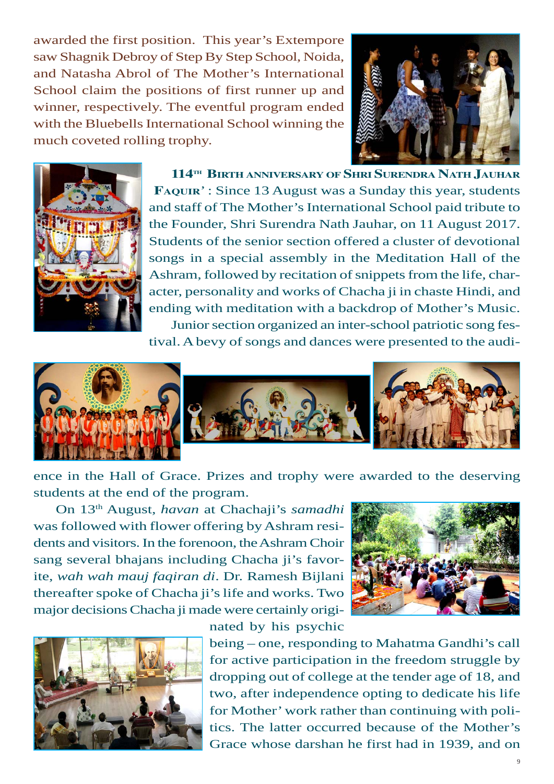awarded the first position. This year's Extempore saw Shagnik Debroy of Step By Step School, Noida, and Natasha Abrol of The Mother's International School claim the positions of first runner up and winner, respectively. The eventful program ended with the Bluebells International School winning the much coveted rolling trophy.





**114TH BIRTH ANNIVERSARY OF SHRI SURENDRA NATH JAUHAR FAQUIR**' : Since 13 August was a Sunday this year, students and staff of The Mother's International School paid tribute to the Founder, Shri Surendra Nath Jauhar, on 11 August 2017. Students of the senior section offered a cluster of devotional songs in a special assembly in the Meditation Hall of the Ashram, followed by recitation of snippets from the life, character, personality and works of Chacha ji in chaste Hindi, and ending with meditation with a backdrop of Mother's Music. Junior section organized an inter-school patriotic song fes-

tival. A bevy of songs and dances were presented to the audi-



ence in the Hall of Grace. Prizes and trophy were awarded to the deserving students at the end of the program.

On 13th August, *havan* at Chachaji's *samadhi* was followed with flower offering by Ashram residents and visitors. In the forenoon, the Ashram Choir sang several bhajans including Chacha ji's favorite, *wah wah mauj faqiran di*. Dr. Ramesh Bijlani thereafter spoke of Chacha ji's life and works. Two major decisions Chacha ji made were certainly origi-



nated by his psychic

being – one, responding to Mahatma Gandhi's call for active participation in the freedom struggle by dropping out of college at the tender age of 18, and two, after independence opting to dedicate his life for Mother' work rather than continuing with politics. The latter occurred because of the Mother's Grace whose darshan he first had in 1939, and on

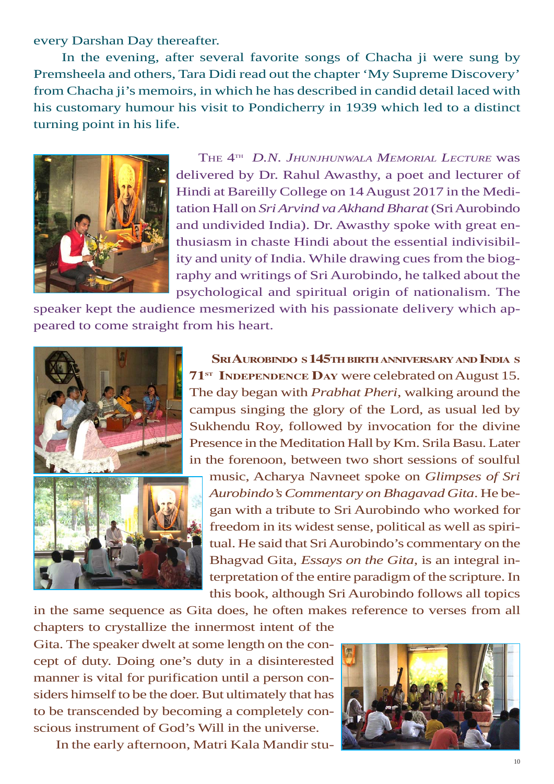every Darshan Day thereafter.

 In the evening, after several favorite songs of Chacha ji were sung by Premsheela and others, Tara Didi read out the chapter 'My Supreme Discovery' from Chacha ji's memoirs, in which he has described in candid detail laced with his customary humour his visit to Pondicherry in 1939 which led to a distinct turning point in his life.



THE 4TH *D.N. JHUNJHUNWALA MEMORIAL LECTURE* was delivered by Dr. Rahul Awasthy, a poet and lecturer of Hindi at Bareilly College on 14 August 2017 in the Meditation Hall on *Sri Arvind va Akhand Bharat* (Sri Aurobindo and undivided India). Dr. Awasthy spoke with great enthusiasm in chaste Hindi about the essential indivisibility and unity of India. While drawing cues from the biography and writings of Sri Aurobindo, he talked about the psychological and spiritual origin of nationalism. The

speaker kept the audience mesmerized with his passionate delivery which appeared to come straight from his heart.



**SRI AUROBINDO S 145TH BIRTH ANNIVERSARY AND INDIA S 71**<sup>st</sup> INDEPENDENCE DAY were celebrated on August 15. The day began with *Prabhat Pheri*, walking around the campus singing the glory of the Lord, as usual led by Sukhendu Roy, followed by invocation for the divine Presence in the Meditation Hall by Km. Srila Basu. Later in the forenoon, between two short sessions of soulful

music, Acharya Navneet spoke on *Glimpses of Sri Aurobindo's Commentary on Bhagavad Gita*. He began with a tribute to Sri Aurobindo who worked for freedom in its widest sense, political as well as spiritual. He said that Sri Aurobindo's commentary on the Bhagvad Gita, *Essays on the Gita*, is an integral interpretation of the entire paradigm of the scripture. In this book, although Sri Aurobindo follows all topics

in the same sequence as Gita does, he often makes reference to verses from all chapters to crystallize the innermost intent of the

Gita. The speaker dwelt at some length on the concept of duty. Doing one's duty in a disinterested manner is vital for purification until a person considers himself to be the doer. But ultimately that has to be transcended by becoming a completely conscious instrument of God's Will in the universe.

In the early afternoon, Matri Kala Mandir stu-

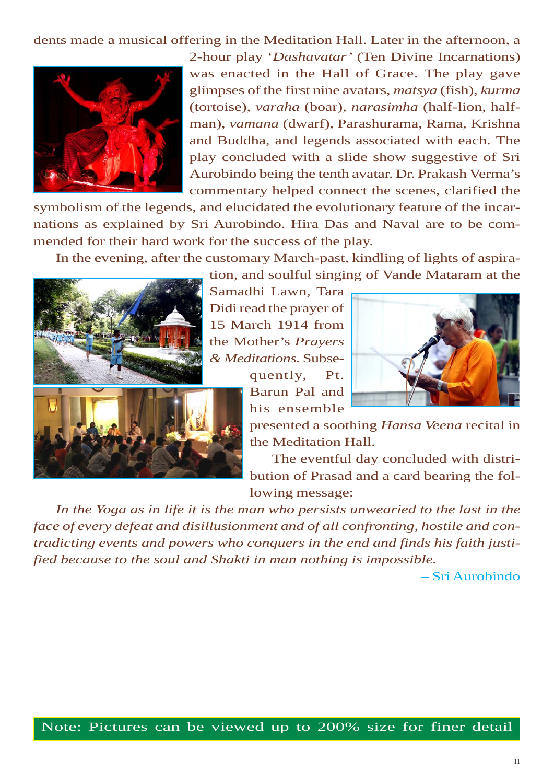dents made a musical offering in the Meditation Hall. Later in the afternoon, a



2-hour play '*Dashavatar'* (Ten Divine Incarnations) was enacted in the Hall of Grace. The play gave glimpses of the first nine avatars, *matsya* (fish), *kurma* (tortoise), *varaha* (boar), *narasimha* (half-lion, halfman), *vamana* (dwarf), Parashurama, Rama, Krishna and Buddha, and legends associated with each. The play concluded with a slide show suggestive of Sri Aurobindo being the tenth avatar. Dr. Prakash Verma's commentary helped connect the scenes, clarified the

tion, and soulful singing of Vande Mataram at the

symbolism of the legends, and elucidated the evolutionary feature of the incarnations as explained by Sri Aurobindo. Hira Das and Naval are to be commended for their hard work for the success of the play.

In the evening, after the customary March-past, kindling of lights of aspira-



Samadhi Lawn, Tara Didi read the prayer of 15 March 1914 from the Mother's *Prayers & Meditations.* Subse-

> quently, Pt. Barun Pal and his ensemble





presented a soothing *Hansa Veena* recital in the Meditation Hall.

The eventful day concluded with distribution of Prasad and a card bearing the following message:

*In the Yoga as in life it is the man who persists unwearied to the last in the face of every defeat and disillusionment and of all confronting, hostile and contradicting events and powers who conquers in the end and finds his faith justified because to the soul and Shakti in man nothing is impossible.*

– Sri Aurobindo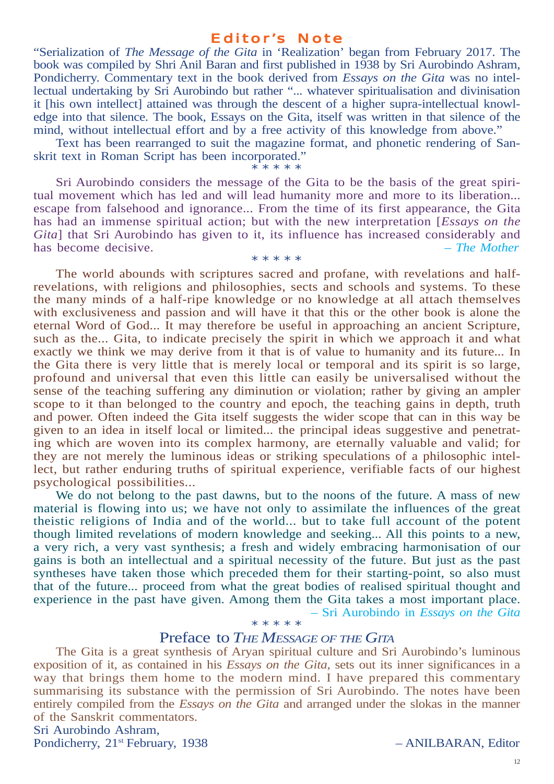#### Editor's Note

"Serialization of *The Message of the Gita* in 'Realization' began from February 2017. The book was compiled by Shri Anil Baran and first published in 1938 by Sri Aurobindo Ashram, Pondicherry. Commentary text in the book derived from *Essays on the Gita* was no intellectual undertaking by Sri Aurobindo but rather "... whatever spiritualisation and divinisation it [his own intellect] attained was through the descent of a higher supra-intellectual knowledge into that silence. The book, Essays on the Gita, itself was written in that silence of the mind, without intellectual effort and by a free activity of this knowledge from above."

Text has been rearranged to suit the magazine format, and phonetic rendering of Sanskrit text in Roman Script has been incorporated." \* \* \* \* \*

Sri Aurobindo considers the message of the Gita to be the basis of the great spiritual movement which has led and will lead humanity more and more to its liberation... escape from falsehood and ignorance... From the time of its first appearance, the Gita has had an immense spiritual action; but with the new interpretation [*Essays on the Gita*] that Sri Aurobindo has given to it, its influence has increased considerably and has become decisive. – *The Mother* \* \* \* \* \*

The world abounds with scriptures sacred and profane, with revelations and halfrevelations, with religions and philosophies, sects and schools and systems. To these the many minds of a half-ripe knowledge or no knowledge at all attach themselves with exclusiveness and passion and will have it that this or the other book is alone the eternal Word of God... It may therefore be useful in approaching an ancient Scripture, such as the... Gita, to indicate precisely the spirit in which we approach it and what exactly we think we may derive from it that is of value to humanity and its future... In the Gita there is very little that is merely local or temporal and its spirit is so large, profound and universal that even this little can easily be universalised without the sense of the teaching suffering any diminution or violation; rather by giving an ampler scope to it than belonged to the country and epoch, the teaching gains in depth, truth and power. Often indeed the Gita itself suggests the wider scope that can in this way be given to an idea in itself local or limited... the principal ideas suggestive and penetrating which are woven into its complex harmony, are eternally valuable and valid; for they are not merely the luminous ideas or striking speculations of a philosophic intellect, but rather enduring truths of spiritual experience, verifiable facts of our highest psychological possibilities...

We do not belong to the past dawns, but to the noons of the future. A mass of new material is flowing into us; we have not only to assimilate the influences of the great theistic religions of India and of the world... but to take full account of the potent though limited revelations of modern knowledge and seeking... All this points to a new, a very rich, a very vast synthesis; a fresh and widely embracing harmonisation of our gains is both an intellectual and a spiritual necessity of the future. But just as the past syntheses have taken those which preceded them for their starting-point, so also must that of the future... proceed from what the great bodies of realised spiritual thought and experience in the past have given. Among them the Gita takes a most important place. – Sri Aurobindo in *Essays on the Gita* \* \* \* \* \*

#### Preface to *THE MESSAGE OF THE GITA*

The Gita is a great synthesis of Aryan spiritual culture and Sri Aurobindo's luminous exposition of it, as contained in his *Essays on the Gita*, sets out its inner significances in a way that brings them home to the modern mind. I have prepared this commentary summarising its substance with the permission of Sri Aurobindo. The notes have been entirely compiled from the *Essays on the Gita* and arranged under the slokas in the manner of the Sanskrit commentators.

Sri Aurobindo Ashram,

Pondicherry, 21<sup>st</sup> February, 1938 – ANILBARAN, Editor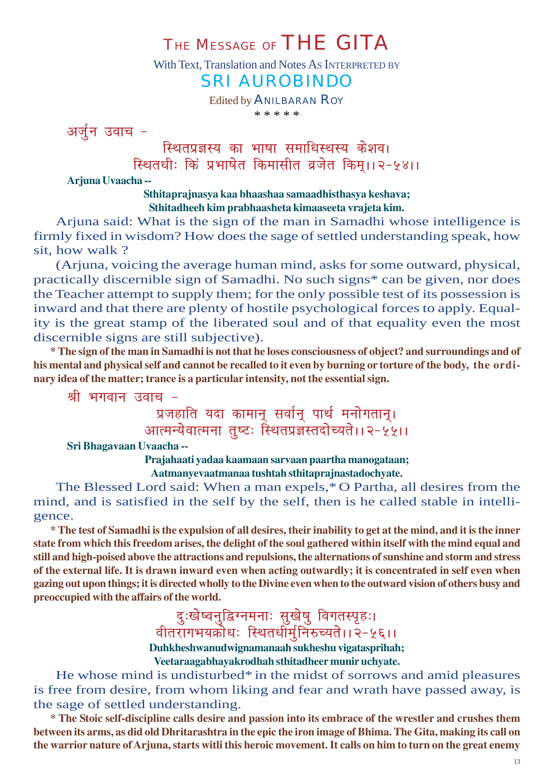# THE MESSAGE OF THE GITA

With Text, Translation and Notes As INTERPRETED BY

#### SRI AUROBINDO

Edited by ANILBARAN ROY

\* \* \* \* \*

अर्जून उवाच $-$ 

## स्थितप्रज्ञस्य का भाषा समाधिस्थस्य केशव। <u>स्थितधीः किं प्रभाषेत किमासीत व्रजेत किम्</u>ना २-५४।।

**Arjuna Uvaacha --**

#### **Sthitaprajnasya kaa bhaashaa samaadhisthasya keshava; Sthitadheeh kim prabhaasheta kimaaseeta vrajeta kim.**

Arjuna said: What is the sign of the man in Samadhi whose intelligence is firmly fixed in wisdom? How does the sage of settled understanding speak, how sit, how walk ?

(Arjuna, voicing the average human mind, asks for some outward, physical, practically discernible sign of Samadhi. No such signs\* can be given, nor does the Teacher attempt to supply them; for the only possible test of its possession is inward and that there are plenty of hostile psychological forces to apply. Equality is the great stamp of the liberated soul and of that equality even the most discernible signs are still subjective).

**\* The sign of the man in Samadhi is not that he loses consciousness of object? and surroundings and of** his mental and physical self and cannot be recalled to it even by burning or torture of the body, the ordi**nary idea of the matter; trance is a particular intensity, not the essential sign.**

श्री भगवान उवाच -

# प्रजहाति यदा कामान् सर्वान् पार्थ मनोगतान्। आत्मन्येवात्मना तुष्टः स्थितप्रज्ञस्तदोच्यते । । २-५५।।

**Sri Bhagavaan Uvaacha --**

#### **Prajahaati yadaa kaamaan sarvaan paartha manogataan; Aatmanyevaatmanaa tushtah sthitaprajnastadochyate.**

The Blessed Lord said: When a man expels,\*O Partha, all desires from the mind, and is satisfied in the self by the self, then is he called stable in intelligence.

**\* The test of Samadhi is the expulsion of all desires, their inability to get at the mind, and it is the inner state from which this freedom arises, the delight of the soul gathered within itself with the mind equal and still and high-poised above the attractions and repulsions, the alternations of sunshine and storm and stress of the external life. It is drawn inward even when acting outwardly; it is concentrated in self even when gazing out upon things; it is directed wholly to the Divine even when to the outward vision of others busy and preoccupied with the affairs of the world.**

## दुःखेष्वनुद्विग्नमनाः सुखेषु विगतस्पृह<mark>ः</mark>। वीतरागभयक्रोधः स्थितधीर्मुनिरुच्यते।।२-५६।।

#### **Duhkheshwanudwignamanaah sukheshu vigatasprihah;**

#### **Veetaraagabhayakrodhah sthitadheer munir uchyate.**

He whose mind is undisturbed\* in the midst of sorrows and amid pleasures is free from desire, from whom liking and fear and wrath have passed away, is the sage of settled understanding.

**\* The Stoic self-discipline calls desire and passion into its embrace of the wrestler and crushes them between its arms, as did old Dhritarashtra in the epic the iron image of Bhima. The Gita, making its call on the warrior nature of Arjuna, starts witli this heroic movement. It calls on him to turn on the great enemy**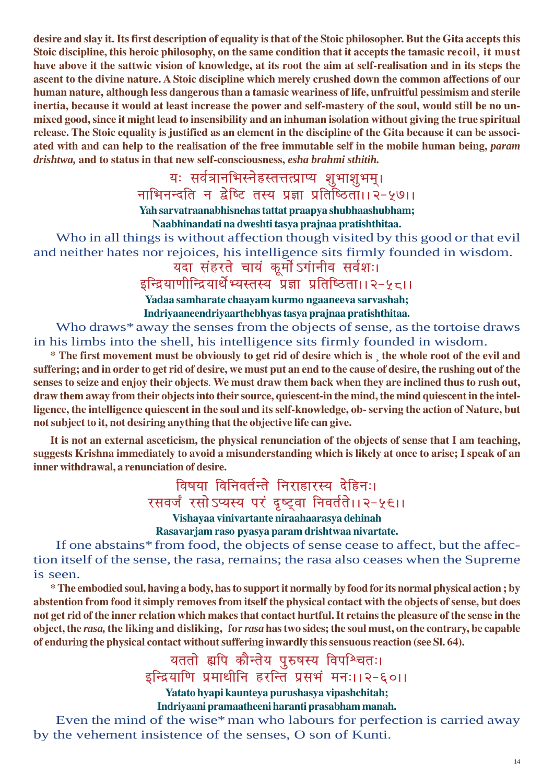**desire and slay it. Its first description of equality is that of the Stoic philosopher. But the Gita accepts this** Stoic discipline, this heroic philosophy, on the same condition that it accepts the tamasic recoil, it must **have above it the sattwic vision of knowledge, at its root the aim at self-realisation and in its steps the ascent to the divine nature. A Stoic discipline which merely crushed down the common affections of our human nature,—although less dangerous than a tamasic weariness of life, unfruitful pessimism and sterile** inertia, because it would at least increase the power and self-mastery of the soul, would still be no un**mixed good, since it might lead to insensibility and an inhuman isolation without giving the true spiritual release. The Stoic equality is justified as an element in the discipline of the Gita because it can be associated with and can help to the realisation of the free immutable self in the mobile human being,** *param drishtwa,* **and to status in that new self-consciousness,** *esha brahmi sthitih.*

> यः सर्वत्रानभिस्नेहस्तत्तत्प्राप्य शुभाशुभम्। नाभिनन्दति न द्वेष्टि तस्य प्रज्ञा प्रतिष्ठिता। २-५७।। **Yah sarvatraanabhisnehas tattat praapya shubhaashubham;**

**Naabhinandati na dweshti tasya prajnaa pratishthitaa.**

Who in all things is without affection though visited by this good or that evil and neither hates nor rejoices, his intelligence sits firmly founded in wisdom.<br>यदा संहरते चायं कूर्मो ऽगंगिव सर्वशः।

# sन्द्रियाणीन्द्रियार्थेभ्यस्तस्य<sup>ें</sup>प्रज्ञा प्रतिष्ठिता।।२-५८।।

**Yadaa samharate chaayam kurmo'ngaaneeva sarvashah; Indriyaaneendriyaarthebhyas tasya prajnaa pratishthitaa.**

Who draws\*away the senses from the objects of sense, as the tortoise draws in his limbs into the shell, his intelligence sits firmly founded in wisdom.

**\* The first movement must be obviously to get rid of desire which is • the whole root of the evil and suffering; and in order to get rid of desire, we must put an end to the cause of desire, the rushing out of the senses to seize and enjoy their objects**. **We must draw them back when they are inclined thus to rush out, draw them away from their objects into their source, quiescent-in the mind, the mind quiescent in the intelligence, the intelligence quiescent in the soul and its self-knowledge, ob- serving the action of Nature, but not subject to it, not desiring anything that the objective life can give.**

**It is not an external asceticism, the physical renunciation of the objects of sense that I am teaching, suggests Krishna immediately to avoid a misunderstanding which is likely at once to arise; I speak of an inner withdrawal, a renunciation of desire.**

### विषया विनिवर्तन्ते निराहारस्य देहिन:। रसवर्जं रसोऽप्यस्य परं दृष्ट्वा निवर्तते।।२-५६।।

#### **Vishayaa vinivartante niraahaarasya dehinah**

#### **Rasavarjam raso'pyasya param drishtwaa nivartate.**

If one abstains\*from food, the objects of sense cease to affect, but the affection itself of the sense, the rasa, remains; the rasa also ceases when the Supreme is seen.

**\* The embodied soul, having a body, has to support it normally by food for its normal physical action ; by abstention from food it simply removes from itself the physical contact with the objects of sense, but does not get rid of the inner relation which makes that contact hurtful. It retains the pleasure of the sense in the object, the** *rasa,* **the liking and disliking,— for** *rasa* **has two sides; the soul must, on the contrary, be capable of enduring the physical contact without suffering inwardly this sensuous reaction (see Sl. 64).**

> यततो ह्यपि कौन्तेय पुरुषस्य विपश्चितः। 5न्द्रियाणि प्रमाथीनि हरन्तिं प्रसभं मनः।।२-६०।। **Yatato hyapi kaunteya purushasya vipashchitah;**

**Indriyaani pramaatheeni haranti prasabham manah.**

Even the mind of the wise\*man who labours for perfection is carried away by the vehement insistence of the senses, O son of Kunti.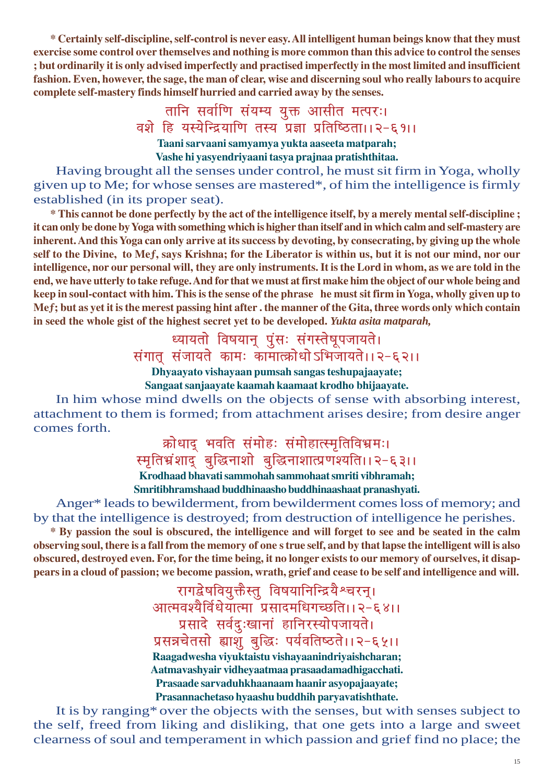**\* Certainly self-discipline, self-control is never easy. All intelligent human beings know that they must exercise some control over themselves and nothing is more common than this advice to control the senses ; but ordinarily it is only advised imperfectly and practised imperfectly in the most limited and insufficient fashion. Even, however, the sage, the man of clear, wise and discerning soul who really labours to acquire complete self-mastery finds himself hurried and carried away by the senses.**

> तानि सर्वाणि संयम्य युक्त आसीत मत्परः। वशे हि यस्येन्द्रियाणि तस्य प्रज्ञा प्रतिष्ठिता।।२-६१।। **Taani sarvaani samyamya yukta aaseeta matparah; Vashe hi yasyendriyaani tasya prajnaa pratishthitaa.**

Having brought all the senses under control, he must sit firm in Yoga, wholly given up to Me; for whose senses are mastered\*, of him the intelligence is firmly established (in its proper seat).

**\* This cannot be done perfectly by the act of the intelligence itself, by a merely mental self-discipline ; it can only be done by Yoga with something which is higher than itself and in which calm and self-mastery are inherent. And this Yoga can only arrive at its success by devoting, by consecrating, by giving up the whole** self to the Divine, to Mef, says Krishna; for the Liberator is within us, but it is not our mind, nor our intelligence, nor our personal will, they are only instruments. It is the Lord in whom, as we are told in the **end, we have utterly to take refuge. And for that we must at first make him the object of our whole being and keep in soul-contact with him. This is the sense of the phrase " he must sit firm in Yoga, wholly given up to** Mef; but as yet it is the merest passing hint after . the manner of the Gita, three words only which contain **in seed the whole gist of the highest secret yet to be developed.** *Yukta asita matparah,*

> ध्यायतो विषयान् पुंसः संगस्तेषूपजायते। संगात संजायते कामः कामात्क्रोधोऽभिजायते।।२-६२।। **Dhyaayato vishayaan pumsah sangas teshupajaayate; Sangaat sanjaayate kaamah kaamaat krodho'bhijaayate.**

In him whose mind dwells on the objects of sense with absorbing interest, attachment to them is formed; from attachment arises desire; from desire anger comes forth.

क्रोधाद् भवति संमोहः संमोहात्स्मृतिविभ्रमः। स्मृतिभ्रंशाद् बुद्धिनाशो बुद्धिनाशात्प्रणश्यति।।२-६३।। **Krodhaad bhavati sammohah sammohaat smriti vibhramah; Smritibhramshaad buddhinaasho buddhinaashaat pranashyati.**

Anger\* leads to bewilderment, from bewilderment comes loss of memory; and by that the intelligence is destroyed; from destruction of intelligence he perishes.

**\* By passion the soul is obscured, the intelligence and will forget to see and be seated in the calm observing soul, there is a fall from the memory of one's true self, and by that lapse the intelligent will is also obscured, destroyed even. For, for the time being, it no longer exists to our memory of ourselves, it disappears in a cloud of passion; we become passion, wrath, grief and cease to be self and intelligence and will.**

> रागद्वेषवियुक्तैस्तु विषयानिन्द्रियैश्चरन्। आत्मवश्यैर्विधेयात्मा प्रसादमधिगच्छति।। २- ६४।। प्रसादे सर्वदुःखानां हानिरस्योपजायते। प्रसन्नचेतसो ह्याशुँ बुद्धिः पर्यवतिष्ठते।।२-६५।। **Raagadwesha viyuktaistu vishayaanindriyaishcharan; Aatmavashyair vidheyaatmaa prasaadamadhigacchati. Prasaade sarvaduhkhaanaam haanir asyopajaayate; Prasannachetaso hyaashu buddhih paryavatishthate.**

It is by ranging\* over the objects with the senses, but with senses subject to the self, freed from liking and disliking, that one gets into a large and sweet clearness of soul and temperament in which passion and grief find no place; the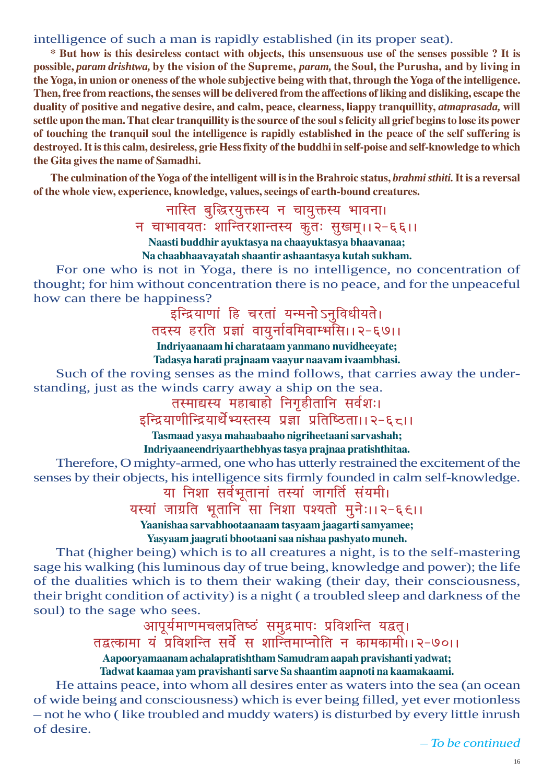intelligence of such a man is rapidly established (in its proper seat).

**\* But how is this desireless contact with objects, this unsensuous use of the senses possible ? It is possible,** *param drishtwa,* **by the vision of the Supreme,—***param,* **the Soul, the Purusha,—and by living in the Yoga, in union or oneness of the whole subjective being with that, through the Yoga of the intelligence. Then, free from reactions, the senses will be delivered from the affections of liking and disliking, escape the duality of positive and negative desire, and calm, peace, clearness, liappy tranquillity,** *atmaprasada,* **will settle upon the man. That clear tranquillity is the source of the soul's felicity all grief begins to lose its power of touching the tranquil soul the intelligence is rapidly established in the peace of the self suffering is destroyed. It is this calm, desireless, grie Hess fixity of the buddhi in self-poise and self-knowledge to which the Gita gives the name of Samadhi.**

**The culmination of the Yoga of the intelligent will is in the Brahroic status,** *brahmi sthiti.* **It is a reversal of the whole view, experience, knowledge, values, seeings of earth-bound creatures.**

> नास्ति बुद्धिरयुक्तस्य न चायुक्तस्य भावना। न चाभावयतः शान्तिरशान्तस्य कुतः सुखम् ।। २-६६।। **Naasti buddhir ayuktasya na chaayuktasya bhaavanaa; Na chaabhaavayatah shaantir ashaantasya kutah sukham.**

For one who is not in Yoga, there is no intelligence, no concentration of thought; for him without concentration there is no peace, and for the unpeaceful how can there be happiness?

<sub>.</sub><br>इन्द्रियाणां हि चरतां यन्मनोऽनुविधीयते। तदस्य हरति प्रज्ञां वायुर्नावमिवाम्भाँसे।।२-६७।। **Indriyaanaam hi charataam yanmano'nuvidheeyate; Tadasya harati prajnaam vaayur naavam ivaambhasi.**

Such of the roving senses as the mind follows, that carries away the understanding, just as the winds carry away a ship on the sea.

#### तस्माद्यस्य महाबाहो निगृहीतानि सर्वशः।

5न्द्रियाणीन्द्रियार्थेभ्यस्तस्य प्रज्ञा प्रतिष्ठिता।।२-६८।।

**Tasmaad yasya mahaabaaho nigriheetaani sarvashah;**

**Indriyaaneendriyaarthebhyas tasya prajnaa pratishthitaa.**

Therefore, O mighty-armed, one who has utterly restrained the excitement of the senses by their objects, his intelligence sits firmly founded in calm self-knowledge.

या निशा सर्वभूतानां तस्यां जागर्ति संयमी।

यस्यां जाग्रति भूतानि सा निशा पश्यतो मुनेः।।२-६६।।

**Yaanishaa sarvabhootaanaam tasyaam jaagarti samyamee;**

**Yasyaam jaagrati bhootaani saa nishaa pashyato muneh.**

That (higher being) which is to all creatures a night, is to the self-mastering sage his walking (his luminous day of true being, knowledge and power); the life of the dualities which is to them their waking (their day, their consciousness, their bright condition of activity) is a night ( a troubled sleep and darkness of the soul) to the sage who sees.

आपूर्यमाणमचलप्रतिष्ठं समुद्रमापः प्रविशन्ति यद्<mark>व</mark>त्। तद्वत्कामा यं प्रविशन्ति सर्वे स शान्तिमाप्नोति न कामकामी।।२-७०।। **Aapooryamaanam achalapratishtham Samudram aapah pravishanti yadwat; Tadwat kaamaa yam pravishanti sarve Sa shaantim aapnoti na kaamakaami.**

He attains peace, into whom all desires enter as waters into the sea (an ocean of wide being and consciousness) which is ever being filled, yet ever motionless – not he who ( like troubled and muddy waters) is disturbed by every little inrush of desire.